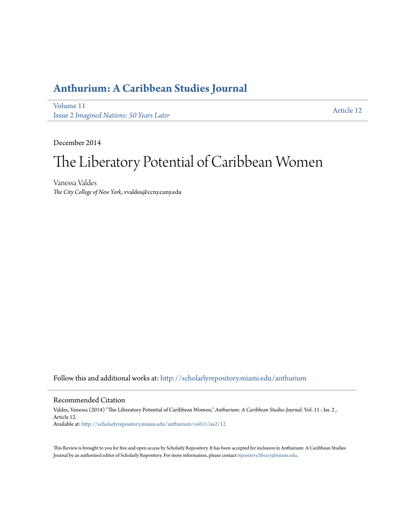## **[Anthurium: A Caribbean Studies Journal](http://scholarlyrepository.miami.edu/anthurium?utm_source=scholarlyrepository.miami.edu%2Fanthurium%2Fvol11%2Fiss2%2F12&utm_medium=PDF&utm_campaign=PDFCoverPages)**

[Volume 11](http://scholarlyrepository.miami.edu/anthurium/vol11?utm_source=scholarlyrepository.miami.edu%2Fanthurium%2Fvol11%2Fiss2%2F12&utm_medium=PDF&utm_campaign=PDFCoverPages) Issue 2 *[Imagined Nations: 50 Years Later](http://scholarlyrepository.miami.edu/anthurium/vol11/iss2?utm_source=scholarlyrepository.miami.edu%2Fanthurium%2Fvol11%2Fiss2%2F12&utm_medium=PDF&utm_campaign=PDFCoverPages)*

[Article 12](http://scholarlyrepository.miami.edu/anthurium/vol11/iss2/12?utm_source=scholarlyrepository.miami.edu%2Fanthurium%2Fvol11%2Fiss2%2F12&utm_medium=PDF&utm_campaign=PDFCoverPages)

December 2014

## The Liberatory Potential of Caribbean Women

Vanessa Valdes *The City College of New York*, vvaldes@ccny.cuny.edu

Follow this and additional works at: [http://scholarlyrepository.miami.edu/anthurium](http://scholarlyrepository.miami.edu/anthurium?utm_source=scholarlyrepository.miami.edu%2Fanthurium%2Fvol11%2Fiss2%2F12&utm_medium=PDF&utm_campaign=PDFCoverPages)

## Recommended Citation

Valdes, Vanessa (2014) "The Liberatory Potential of Caribbean Women," *Anthurium: A Caribbean Studies Journal*: Vol. 11 : Iss. 2 , Article 12. Available at: [http://scholarlyrepository.miami.edu/anthurium/vol11/iss2/12](http://scholarlyrepository.miami.edu/anthurium/vol11/iss2/12?utm_source=scholarlyrepository.miami.edu%2Fanthurium%2Fvol11%2Fiss2%2F12&utm_medium=PDF&utm_campaign=PDFCoverPages)

This Review is brought to you for free and open access by Scholarly Repository. It has been accepted for inclusion in Anthurium: A Caribbean Studies Journal by an authorized editor of Scholarly Repository. For more information, please contact [repository.library@miami.edu](mailto:repository.library@miami.edu).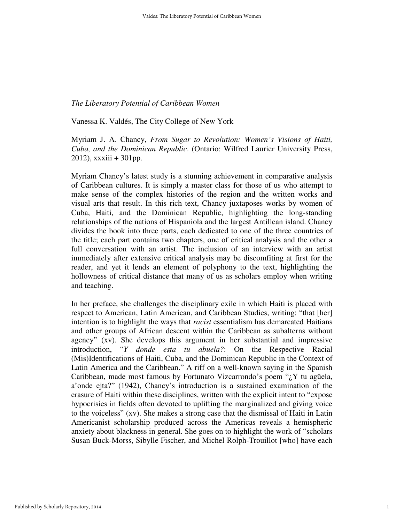## *The Liberatory Potential of Caribbean Women*

Vanessa K. Valdés, The City College of New York

Myriam J. A. Chancy, *From Sugar to Revolution: Women's Visions of Haiti, Cuba, and the Dominican Republic*. (Ontario: Wilfred Laurier University Press, 2012), xxxiii + 301pp.

Myriam Chancy's latest study is a stunning achievement in comparative analysis of Caribbean cultures. It is simply a master class for those of us who attempt to make sense of the complex histories of the region and the written works and visual arts that result. In this rich text, Chancy juxtaposes works by women of Cuba, Haiti, and the Dominican Republic, highlighting the long-standing relationships of the nations of Hispaniola and the largest Antillean island. Chancy divides the book into three parts, each dedicated to one of the three countries of the title; each part contains two chapters, one of critical analysis and the other a full conversation with an artist. The inclusion of an interview with an artist immediately after extensive critical analysis may be discomfiting at first for the reader, and yet it lends an element of polyphony to the text, highlighting the hollowness of critical distance that many of us as scholars employ when writing and teaching.

In her preface, she challenges the disciplinary exile in which Haiti is placed with respect to American, Latin American, and Caribbean Studies, writing: "that [her] intention is to highlight the ways that *racist* essentialism has demarcated Haitians and other groups of African descent within the Caribbean as subalterns without agency" (xv). She develops this argument in her substantial and impressive introduction, "*Y donde esta tu abuela?*: On the Respective Racial (Mis)Identifications of Haiti, Cuba, and the Dominican Republic in the Context of Latin America and the Caribbean." A riff on a well-known saying in the Spanish Caribbean, made most famous by Fortunato Vizcarrondo's poem " $\chi$ Y tu agüela, a'onde ejta?" (1942), Chancy's introduction is a sustained examination of the erasure of Haiti within these disciplines, written with the explicit intent to "expose hypocrisies in fields often devoted to uplifting the marginalized and giving voice to the voiceless" (xv). She makes a strong case that the dismissal of Haiti in Latin Americanist scholarship produced across the Americas reveals a hemispheric anxiety about blackness in general. She goes on to highlight the work of "scholars Susan Buck-Morss, Sibylle Fischer, and Michel Rolph-Trouillot [who] have each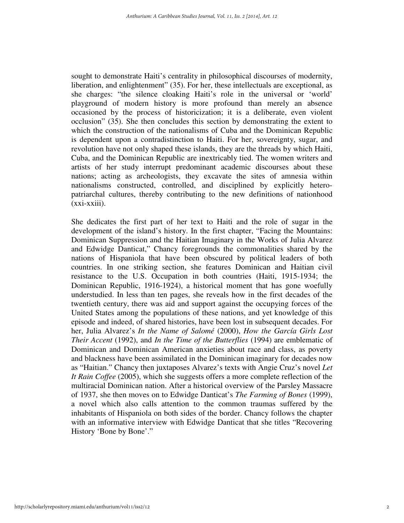sought to demonstrate Haiti's centrality in philosophical discourses of modernity, liberation, and enlightenment" (35). For her, these intellectuals are exceptional, as she charges: "the silence cloaking Haiti's role in the universal or 'world' playground of modern history is more profound than merely an absence occasioned by the process of historicization; it is a deliberate, even violent occlusion" (35). She then concludes this section by demonstrating the extent to which the construction of the nationalisms of Cuba and the Dominican Republic is dependent upon a contradistinction to Haiti. For her, sovereignty, sugar, and revolution have not only shaped these islands, they are the threads by which Haiti, Cuba, and the Dominican Republic are inextricably tied. The women writers and artists of her study interrupt predominant academic discourses about these nations; acting as archeologists, they excavate the sites of amnesia within nationalisms constructed, controlled, and disciplined by explicitly heteropatriarchal cultures, thereby contributing to the new definitions of nationhood (xxi-xxiii).

She dedicates the first part of her text to Haiti and the role of sugar in the development of the island's history. In the first chapter, "Facing the Mountains: Dominican Suppression and the Haitian Imaginary in the Works of Julia Alvarez and Edwidge Danticat," Chancy foregrounds the commonalities shared by the nations of Hispaniola that have been obscured by political leaders of both countries. In one striking section, she features Dominican and Haitian civil resistance to the U.S. Occupation in both countries (Haiti, 1915-1934; the Dominican Republic, 1916-1924), a historical moment that has gone woefully understudied. In less than ten pages, she reveals how in the first decades of the twentieth century, there was aid and support against the occupying forces of the United States among the populations of these nations, and yet knowledge of this episode and indeed, of shared histories, have been lost in subsequent decades. For her, Julia Alvarez's *In the Name of Salomé* (2000), *How the García Girls Lost Their Accent* (1992), and *In the Time of the Butterflies* (1994) are emblematic of Dominican and Dominican American anxieties about race and class, as poverty and blackness have been assimilated in the Dominican imaginary for decades now as "Haitian." Chancy then juxtaposes Alvarez's texts with Angie Cruz's novel *Let It Rain Coffee* (2005), which she suggests offers a more complete reflection of the multiracial Dominican nation. After a historical overview of the Parsley Massacre of 1937, she then moves on to Edwidge Danticat's *The Farming of Bones* (1999), a novel which also calls attention to the common traumas suffered by the inhabitants of Hispaniola on both sides of the border. Chancy follows the chapter with an informative interview with Edwidge Danticat that she titles "Recovering History 'Bone by Bone'."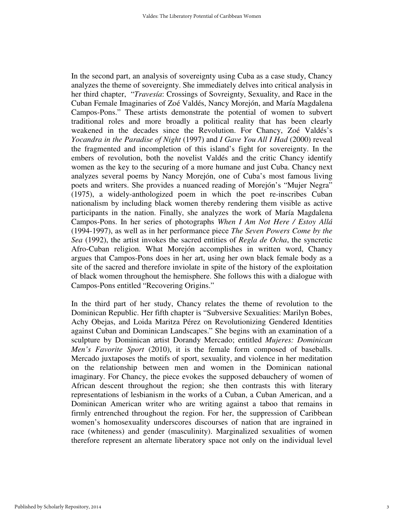In the second part, an analysis of sovereignty using Cuba as a case study, Chancy analyzes the theme of sovereignty. She immediately delves into critical analysis in her third chapter, "*Travesía*: Crossings of Sovreignty, Sexuality, and Race in the Cuban Female Imaginaries of Zoé Valdés, Nancy Morejón, and María Magdalena Campos-Pons." These artists demonstrate the potential of women to subvert traditional roles and more broadly a political reality that has been clearly weakened in the decades since the Revolution. For Chancy, Zoé Valdés's *Yocandra in the Paradise of Night* (1997) and *I Gave You All I Had* (2000) reveal the fragmented and incompletion of this island's fight for sovereignty. In the embers of revolution, both the novelist Valdés and the critic Chancy identify women as the key to the securing of a more humane and just Cuba. Chancy next analyzes several poems by Nancy Morejón, one of Cuba's most famous living poets and writers. She provides a nuanced reading of Morejón's "Mujer Negra" (1975), a widely-anthologized poem in which the poet re-inscribes Cuban nationalism by including black women thereby rendering them visible as active participants in the nation. Finally, she analyzes the work of María Magdalena Campos-Pons. In her series of photographs *When I Am Not Here / Estoy Allá*  (1994-1997), as well as in her performance piece *The Seven Powers Come by the Sea* (1992), the artist invokes the sacred entities of *Regla de Ocha*, the syncretic Afro-Cuban religion. What Morejón accomplishes in written word, Chancy argues that Campos-Pons does in her art, using her own black female body as a site of the sacred and therefore inviolate in spite of the history of the exploitation of black women throughout the hemisphere. She follows this with a dialogue with Campos-Pons entitled "Recovering Origins."

In the third part of her study, Chancy relates the theme of revolution to the Dominican Republic. Her fifth chapter is "Subversive Sexualities: Marilyn Bobes, Achy Obejas, and Loida Maritza Pérez on Revolutionizing Gendered Identities against Cuban and Dominican Landscapes." She begins with an examination of a sculpture by Dominican artist Dorandy Mercado; entitled *Mujeres: Dominican Men's Favorite Sport* (2010), it is the female form composed of baseballs. Mercado juxtaposes the motifs of sport, sexuality, and violence in her meditation on the relationship between men and women in the Dominican national imaginary. For Chancy, the piece evokes the supposed debauchery of women of African descent throughout the region; she then contrasts this with literary representations of lesbianism in the works of a Cuban, a Cuban American, and a Dominican American writer who are writing against a taboo that remains in firmly entrenched throughout the region. For her, the suppression of Caribbean women's homosexuality underscores discourses of nation that are ingrained in race (whiteness) and gender (masculinity). Marginalized sexualities of women therefore represent an alternate liberatory space not only on the individual level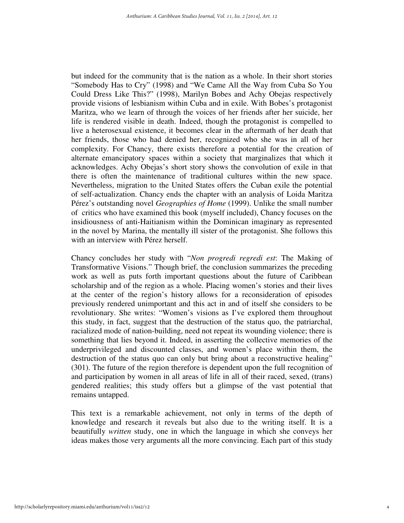but indeed for the community that is the nation as a whole. In their short stories "Somebody Has to Cry" (1998) and "We Came All the Way from Cuba So You Could Dress Like This?" (1998), Marilyn Bobes and Achy Obejas respectively provide visions of lesbianism within Cuba and in exile. With Bobes's protagonist Maritza, who we learn of through the voices of her friends after her suicide, her life is rendered visible in death. Indeed, though the protagonist is compelled to live a heterosexual existence, it becomes clear in the aftermath of her death that her friends, those who had denied her, recognized who she was in all of her complexity. For Chancy, there exists therefore a potential for the creation of alternate emancipatory spaces within a society that marginalizes that which it acknowledges. Achy Obejas's short story shows the convolution of exile in that there is often the maintenance of traditional cultures within the new space. Nevertheless, migration to the United States offers the Cuban exile the potential of self-actualization. Chancy ends the chapter with an analysis of Loida Maritza Pérez's outstanding novel *Geographies of Home* (1999). Unlike the small number of critics who have examined this book (myself included), Chancy focuses on the insidiousness of anti-Haitianism within the Dominican imaginary as represented in the novel by Marina, the mentally ill sister of the protagonist. She follows this with an interview with Pérez herself.

Chancy concludes her study with "*Non progredi regredi est*: The Making of Transformative Visions." Though brief, the conclusion summarizes the preceding work as well as puts forth important questions about the future of Caribbean scholarship and of the region as a whole. Placing women's stories and their lives at the center of the region's history allows for a reconsideration of episodes previously rendered unimportant and this act in and of itself she considers to be revolutionary. She writes: "Women's visions as I've explored them throughout this study, in fact, suggest that the destruction of the status quo, the patriarchal, racialized mode of nation-building, need not repeat its wounding violence; there is something that lies beyond it. Indeed, in asserting the collective memories of the underprivileged and discounted classes, and women's place within them, the destruction of the status quo can only but bring about a reconstructive healing" (301). The future of the region therefore is dependent upon the full recognition of and participation by women in all areas of life in all of their raced, sexed, (trans) gendered realities; this study offers but a glimpse of the vast potential that remains untapped.

This text is a remarkable achievement, not only in terms of the depth of knowledge and research it reveals but also due to the writing itself. It is a beautifully *written* study, one in which the language in which she conveys her ideas makes those very arguments all the more convincing. Each part of this study